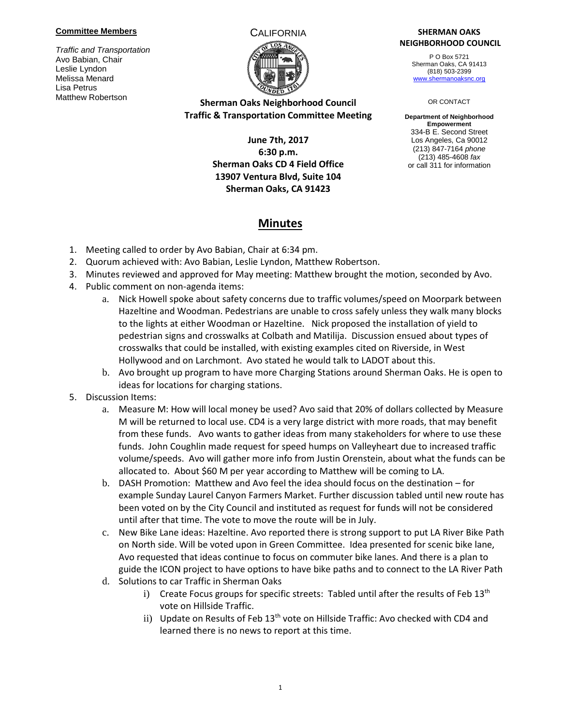#### **Committee Members**

*Traffic and Transportation* Avo Babian, Chair Leslie Lyndon Melissa Menard Lisa Petrus Matthew Robertson

#### CALIFORNIA **SHERMAN OAKS NEIGHBORHOOD COUNCIL**

P O Box 5721 Sherman Oaks, CA 91413 (818) 503-2399 [www.shermanoaksnc.org](http://www.shermanoaksnc.org/)

#### OR CONTACT

**Department of Neighborhood Empowerment** 334-B E. Second Street Los Angeles, Ca 90012 (213) 847-7164 *phone* (213) 485-4608 *fax* or call 311 for information

## **Sherman Oaks Neighborhood Council Traffic & Transportation Committee Meeting**

## **June 7th, 2017 6:30 p.m. Sherman Oaks CD 4 Field Office 13907 Ventura Blvd, Suite 104 Sherman Oaks, CA 91423**

# **Minutes**

- 1. Meeting called to order by Avo Babian, Chair at 6:34 pm.
- 2. Quorum achieved with: Avo Babian, Leslie Lyndon, Matthew Robertson.
- 3. Minutes reviewed and approved for May meeting: Matthew brought the motion, seconded by Avo.
- 4. Public comment on non-agenda items:
	- a. Nick Howell spoke about safety concerns due to traffic volumes/speed on Moorpark between Hazeltine and Woodman. Pedestrians are unable to cross safely unless they walk many blocks to the lights at either Woodman or Hazeltine. Nick proposed the installation of yield to pedestrian signs and crosswalks at Colbath and Matilija. Discussion ensued about types of crosswalks that could be installed, with existing examples cited on Riverside, in West Hollywood and on Larchmont. Avo stated he would talk to LADOT about this.
	- b. Avo brought up program to have more Charging Stations around Sherman Oaks. He is open to ideas for locations for charging stations.
- 5. Discussion Items:
	- a. Measure M: How will local money be used? Avo said that 20% of dollars collected by Measure M will be returned to local use. CD4 is a very large district with more roads, that may benefit from these funds. Avo wants to gather ideas from many stakeholders for where to use these funds. John Coughlin made request for speed humps on Valleyheart due to increased traffic volume/speeds. Avo will gather more info from Justin Orenstein, about what the funds can be allocated to. About \$60 M per year according to Matthew will be coming to LA.
	- b. DASH Promotion: Matthew and Avo feel the idea should focus on the destination for example Sunday Laurel Canyon Farmers Market. Further discussion tabled until new route has been voted on by the City Council and instituted as request for funds will not be considered until after that time. The vote to move the route will be in July.
	- c. New Bike Lane ideas: Hazeltine. Avo reported there is strong support to put LA River Bike Path on North side. Will be voted upon in Green Committee. Idea presented for scenic bike lane, Avo requested that ideas continue to focus on commuter bike lanes. And there is a plan to guide the ICON project to have options to have bike paths and to connect to the LA River Path
	- d. Solutions to car Traffic in Sherman Oaks
		- i) Create Focus groups for specific streets: Tabled until after the results of Feb  $13<sup>th</sup>$ vote on Hillside Traffic.
		- ii) Update on Results of Feb 13<sup>th</sup> vote on Hillside Traffic: Avo checked with CD4 and learned there is no news to report at this time.